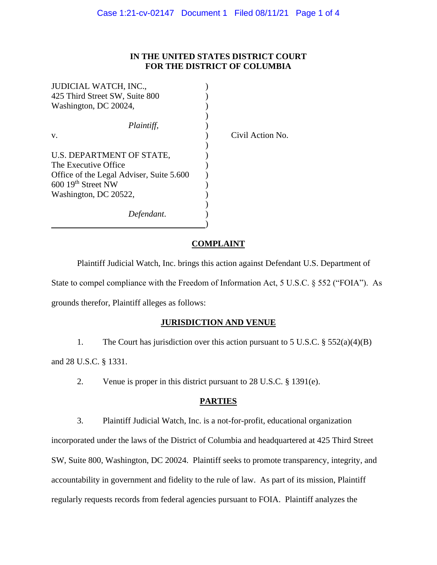## **IN THE UNITED STATES DISTRICT COURT FOR THE DISTRICT OF COLUMBIA**

| <b>JUDICIAL WATCH, INC.,</b>             |                  |
|------------------------------------------|------------------|
| 425 Third Street SW, Suite 800           |                  |
| Washington, DC 20024,                    |                  |
|                                          |                  |
| Plaintiff,                               |                  |
| V.                                       | Civil Action No. |
|                                          |                  |
| U.S. DEPARTMENT OF STATE,                |                  |
| The Executive Office                     |                  |
| Office of the Legal Adviser, Suite 5.600 |                  |
| $60019th$ Street NW                      |                  |
| Washington, DC 20522,                    |                  |
|                                          |                  |
| Defendant.                               |                  |
|                                          |                  |

#### **COMPLAINT**

Plaintiff Judicial Watch, Inc. brings this action against Defendant U.S. Department of State to compel compliance with the Freedom of Information Act, 5 U.S.C. § 552 ("FOIA"). As grounds therefor, Plaintiff alleges as follows:

#### **JURISDICTION AND VENUE**

1. The Court has jurisdiction over this action pursuant to 5 U.S.C. § 552(a)(4)(B) and 28 U.S.C. § 1331.

2. Venue is proper in this district pursuant to 28 U.S.C. § 1391(e).

# **PARTIES**

3. Plaintiff Judicial Watch, Inc. is a not-for-profit, educational organization

incorporated under the laws of the District of Columbia and headquartered at 425 Third Street SW, Suite 800, Washington, DC 20024. Plaintiff seeks to promote transparency, integrity, and accountability in government and fidelity to the rule of law. As part of its mission, Plaintiff regularly requests records from federal agencies pursuant to FOIA. Plaintiff analyzes the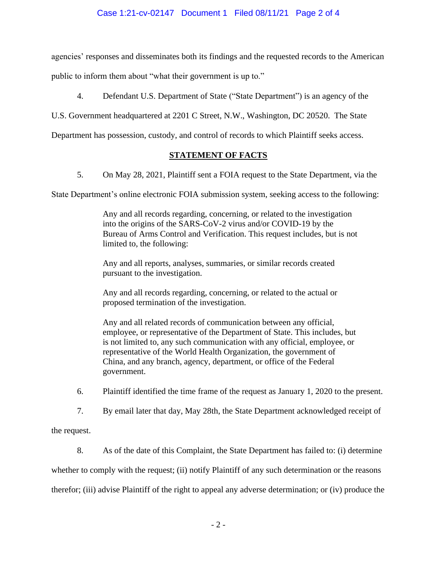# Case 1:21-cv-02147 Document 1 Filed 08/11/21 Page 2 of 4

agencies' responses and disseminates both its findings and the requested records to the American

public to inform them about "what their government is up to."

4. Defendant U.S. Department of State ("State Department") is an agency of the

U.S. Government headquartered at 2201 C Street, N.W., Washington, DC 20520. The State

Department has possession, custody, and control of records to which Plaintiff seeks access.

# **STATEMENT OF FACTS**

5. On May 28, 2021, Plaintiff sent a FOIA request to the State Department, via the

State Department's online electronic FOIA submission system, seeking access to the following:

Any and all records regarding, concerning, or related to the investigation into the origins of the SARS-CoV-2 virus and/or COVID-19 by the Bureau of Arms Control and Verification. This request includes, but is not limited to, the following:

Any and all reports, analyses, summaries, or similar records created pursuant to the investigation.

Any and all records regarding, concerning, or related to the actual or proposed termination of the investigation.

Any and all related records of communication between any official, employee, or representative of the Department of State. This includes, but is not limited to, any such communication with any official, employee, or representative of the World Health Organization, the government of China, and any branch, agency, department, or office of the Federal government.

6. Plaintiff identified the time frame of the request as January 1, 2020 to the present.

7. By email later that day, May 28th, the State Department acknowledged receipt of

the request.

8. As of the date of this Complaint, the State Department has failed to: (i) determine whether to comply with the request; (ii) notify Plaintiff of any such determination or the reasons therefor; (iii) advise Plaintiff of the right to appeal any adverse determination; or (iv) produce the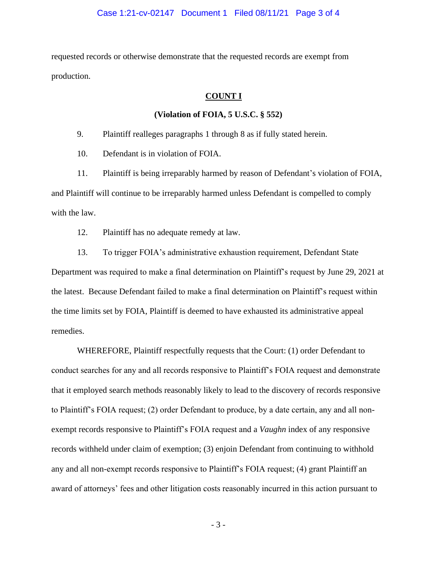requested records or otherwise demonstrate that the requested records are exempt from production.

# **COUNT I**

### **(Violation of FOIA, 5 U.S.C. § 552)**

9. Plaintiff realleges paragraphs 1 through 8 as if fully stated herein.

10. Defendant is in violation of FOIA.

11. Plaintiff is being irreparably harmed by reason of Defendant's violation of FOIA, and Plaintiff will continue to be irreparably harmed unless Defendant is compelled to comply with the law.

12. Plaintiff has no adequate remedy at law.

13. To trigger FOIA's administrative exhaustion requirement, Defendant State Department was required to make a final determination on Plaintiff's request by June 29, 2021 at the latest. Because Defendant failed to make a final determination on Plaintiff's request within the time limits set by FOIA, Plaintiff is deemed to have exhausted its administrative appeal remedies.

WHEREFORE, Plaintiff respectfully requests that the Court: (1) order Defendant to conduct searches for any and all records responsive to Plaintiff's FOIA request and demonstrate that it employed search methods reasonably likely to lead to the discovery of records responsive to Plaintiff's FOIA request; (2) order Defendant to produce, by a date certain, any and all nonexempt records responsive to Plaintiff's FOIA request and a *Vaughn* index of any responsive records withheld under claim of exemption; (3) enjoin Defendant from continuing to withhold any and all non-exempt records responsive to Plaintiff's FOIA request; (4) grant Plaintiff an award of attorneys' fees and other litigation costs reasonably incurred in this action pursuant to